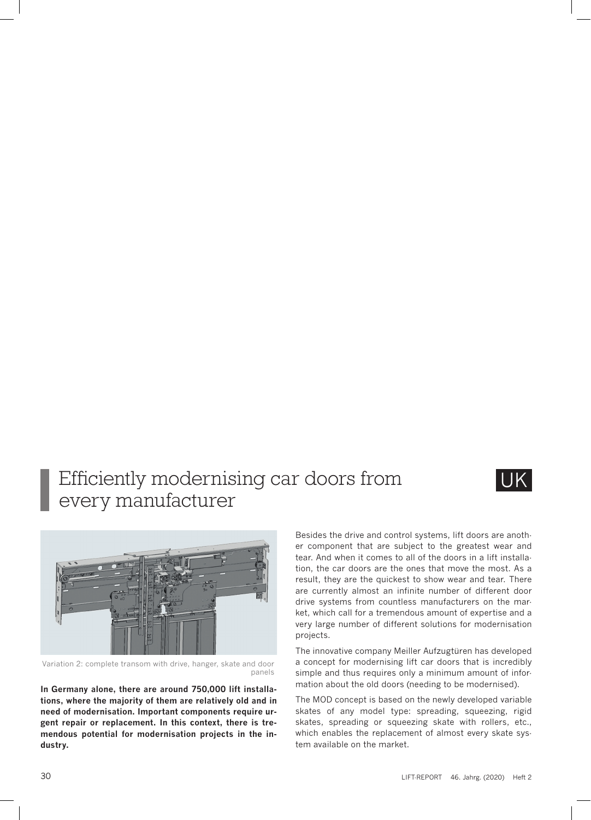## Efficiently modernising car doors from every manufacturer





Variation 2: complete transom with drive, hanger, skate and door panels

**In Germany alone, there are around 750,000 lift installations, where the majority of them are relatively old and in need of modernisation. Important components require urgent repair or replacement. In this context, there is tremendous potential for modernisation projects in the industry.** 

Besides the drive and control systems, lift doors are another component that are subject to the greatest wear and tear. And when it comes to all of the doors in a lift installation, the car doors are the ones that move the most. As a result, they are the quickest to show wear and tear. There are currently almost an infinite number of different door drive systems from countless manufacturers on the market, which call for a tremendous amount of expertise and a very large number of different solutions for modernisation projects.

The innovative company Meiller Aufzugtüren has developed a concept for modernising lift car doors that is incredibly simple and thus requires only a minimum amount of information about the old doors (needing to be modernised).

The MOD concept is based on the newly developed variable skates of any model type: spreading, squeezing, rigid skates, spreading or squeezing skate with rollers, etc., which enables the replacement of almost every skate system available on the market.